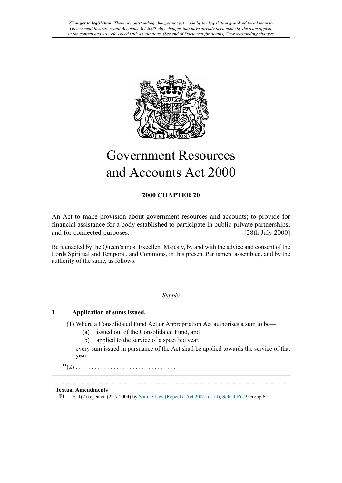

# Government Resources and Accounts Act 2000

### **2000 CHAPTER 20**

An Act to make provision about government resources and accounts; to provide for financial assistance for a body established to participate in public-private partnerships; and for connected purposes.

Be it enacted by the Queen's most Excellent Majesty, by and with the advice and consent of the Lords Spiritual and Temporal, and Commons, in this present Parliament assembled, and by the authority of the same, as follows:—

### *Supply*

### **1 Application of sums issued.**

(1) Where a Consolidated Fund Act or Appropriation Act authorises a sum to be—

- (a) issued out of the Consolidated Fund, and
- (b) applied to the service of a specified year,

every sum issued in pursuance of the Act shall be applied towards the service of that year.

<span id="page-0-1"></span>**[F1](#page-0-0)**(2) . . . . . . . . . . . . . . . . . . . . . . . . . . . . . . . .

### **Textual Amendments**

<span id="page-0-0"></span>**[F1](#page-0-1)** S. 1(2) repealed (22.7.2004) by [Statute Law \(Repeals\) Act 2004 \(c. 14\),](http://www.legislation.gov.uk/id/ukpga/2004/14) **[Sch. 1 Pt. 9](http://www.legislation.gov.uk/id/ukpga/2004/14/schedule/1/part/9)** Group 6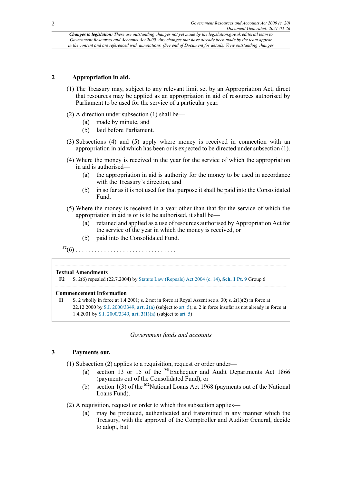### **2 Appropriation in aid.**

- (1) The Treasury may, subject to any relevant limit set by an Appropriation Act, direct that resources may be applied as an appropriation in aid of resources authorised by Parliament to be used for the service of a particular year.
- (2) A direction under subsection (1) shall be—
	- (a) made by minute, and
	- (b) laid before Parliament.
- (3) Subsections (4) and (5) apply where money is received in connection with an appropriation in aid which has been or is expected to be directed under subsection (1).
- (4) Where the money is received in the year for the service of which the appropriation in aid is authorised—
	- (a) the appropriation in aid is authority for the money to be used in accordance with the Treasury's direction, and
	- (b) in so far as it is not used for that purpose it shall be paid into the Consolidated Fund.
- (5) Where the money is received in a year other than that for the service of which the appropriation in aid is or is to be authorised, it shall be—
	- (a) retained and applied as a use of resources authorised by Appropriation Act for the service of the year in which the money is received, or
	- (b) paid into the Consolidated Fund.

<span id="page-1-1"></span>**[F2](#page-1-0)**(6) . . . . . . . . . . . . . . . . . . . . . . . . . . . . . . . .

#### **Textual Amendments**

<span id="page-1-0"></span>**[F2](#page-1-1)** S. 2(6) repealed (22.7.2004) by [Statute Law \(Repeals\) Act 2004 \(c. 14\),](http://www.legislation.gov.uk/id/ukpga/2004/14) **[Sch. 1 Pt. 9](http://www.legislation.gov.uk/id/ukpga/2004/14/schedule/1/part/9)** Group 6

#### **Commencement Information**

**I1** S. 2 wholly in force at 1.4.2001; s. 2 not in force at Royal Assent see s. 30; s. 2(1)(2) in force at 22.12.2000 by [S.I. 2000/3349,](http://www.legislation.gov.uk/id/uksi/2000/3349) **[art. 2\(a\)](http://www.legislation.gov.uk/id/uksi/2000/3349/article/2/a)** (subject to [art. 5](http://www.legislation.gov.uk/id/uksi/2000/3349/article/5)); s. 2 in force insofar as not already in force at 1.4.2001 by [S.I. 2000/3349,](http://www.legislation.gov.uk/id/uksi/2000/3349) **[art. 3\(1\)\(a\)](http://www.legislation.gov.uk/id/uksi/2000/3349/article/3/1/a)** (subject to [art. 5\)](http://www.legislation.gov.uk/id/uksi/2000/3349/article/5)

### <span id="page-1-3"></span><span id="page-1-2"></span>*Government funds and accounts*

### **3 Payments out.**

(1) Subsection (2) applies to a requisition, request or order under—

- (a) section 13 or 15 of the **[M1](#page-2-0)**Exchequer and Audit Departments Act 1866 (payments out of the Consolidated Fund), or
- (b) section 1(3) of the **[M2](#page-2-1)**National Loans Act 1968 (payments out of the National Loans Fund).
- (2) A requisition, request or order to which this subsection applies—
	- (a) may be produced, authenticated and transmitted in any manner which the Treasury, with the approval of the Comptroller and Auditor General, decide to adopt, but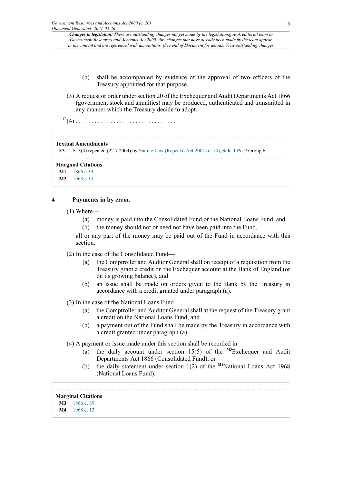- (b) shall be accompanied by evidence of the approval of two officers of the Treasury appointed for that purpose.
- (3) A request or order under section 20 of the Exchequer and Audit Departments Act 1866 (government stock and annuities) may be produced, authenticated and transmitted in any manner which the Treasury decide to adopt.

<span id="page-2-3"></span>**[F3](#page-2-2)**(4) . . . . . . . . . . . . . . . . . . . . . . . . . . . . . . . .

#### **Textual Amendments**

<span id="page-2-2"></span>**[F3](#page-2-3)** S. 3(4) repealed (22.7.2004) by [Statute Law \(Repeals\) Act 2004 \(c. 14\),](http://www.legislation.gov.uk/id/ukpga/2004/14) **[Sch. 1 Pt. 9](http://www.legislation.gov.uk/id/ukpga/2004/14/schedule/1/part/9)** Group 6

#### **Marginal Citations**

<span id="page-2-0"></span>**[M1](#page-1-2)** [1866 c.39](http://www.legislation.gov.uk/id/ukpga/1866/39).

<span id="page-2-1"></span>**[M2](#page-1-3)** [1968 c.13](http://www.legislation.gov.uk/id/ukpga/1968/13).

### **4 Payments in by error.**

- (1) Where—
	- (a) money is paid into the Consolidated Fund or the National Loans Fund, and
	- (b) the money should not or need not have been paid into the Fund,

all or any part of the money may be paid out of the Fund in accordance with this section.

(2) In the case of the Consolidated Fund—

- (a) the Comptroller and Auditor General shall on receipt of a requisition from the Treasury grant a credit on the Exchequer account at the Bank of England (or on its growing balance), and
- <span id="page-2-6"></span>(b) an issue shall be made on orders given to the Bank by the Treasury in accordance with a credit granted under paragraph (a).
- (3) In the case of the National Loans Fund—
	- (a) the Comptroller and Auditor General shall at the request of the Treasury grant a credit on the National Loans Fund, and
	- (b) a payment out of the Fund shall be made by the Treasury in accordance with a credit granted under paragraph (a).
- <span id="page-2-7"></span>(4) A payment or issue made under this section shall be recorded in—
	- (a) the daily account under section 15(5) of the **[M3](#page-2-4)**Exchequer and Audit Departments Act 1866 (Consolidated Fund), or
	- (b) the daily statement under section 1(2) of the **[M4](#page-2-5)**National Loans Act 1968 (National Loans Fund).

### **Marginal Citations**

- <span id="page-2-4"></span>**[M3](#page-2-6)** [1866 c. 39](http://www.legislation.gov.uk/id/ukpga/1866/39).
- <span id="page-2-5"></span>**[M4](#page-2-7)** [1968 c. 13](http://www.legislation.gov.uk/id/ukpga/1968/13).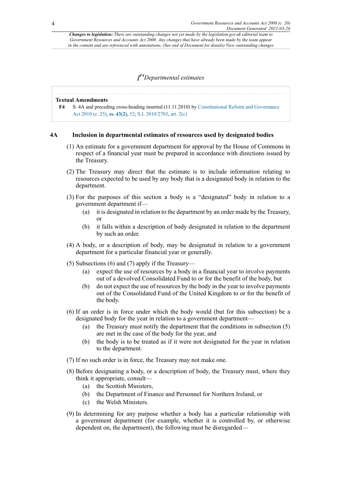<span id="page-3-1"></span>*[ [F4](#page-3-0)Departmental estimates*

#### **Textual Amendments**

<span id="page-3-0"></span>**[F4](#page-3-1)** S. 4A and preceding cross-heading inserted (11.11.2010) by [Constitutional Reform and Governance](http://www.legislation.gov.uk/id/ukpga/2010/25) [Act 2010 \(c. 25\),](http://www.legislation.gov.uk/id/ukpga/2010/25) **[ss. 43\(2\)](http://www.legislation.gov.uk/id/ukpga/2010/25/section/43/2)**, [52;](http://www.legislation.gov.uk/id/ukpga/2010/25/section/52) [S.I. 2010/2703,](http://www.legislation.gov.uk/id/uksi/2010/2703) [art. 2\(c\)](http://www.legislation.gov.uk/id/uksi/2010/2703/article/2/c)

### **4A Inclusion in departmental estimates of resources used by designated bodies**

- (1) An estimate for a government department for approval by the House of Commons in respect of a financial year must be prepared in accordance with directions issued by the Treasury.
- (2) The Treasury may direct that the estimate is to include information relating to resources expected to be used by any body that is a designated body in relation to the department.
- (3) For the purposes of this section a body is a "designated" body in relation to a government department if—
	- (a) it is designated in relation to the department by an order made by the Treasury, or
	- (b) it falls within a description of body designated in relation to the department by such an order.
- (4) A body, or a description of body, may be designated in relation to a government department for a particular financial year or generally.
- (5) Subsections (6) and (7) apply if the Treasury—
	- (a) expect the use of resources by a body in a financial year to involve payments out of a devolved Consolidated Fund to or for the benefit of the body, but
	- (b) do not expect the use of resources by the body in the year to involve payments out of the Consolidated Fund of the United Kingdom to or for the benefit of the body.
- (6) If an order is in force under which the body would (but for this subsection) be a designated body for the year in relation to a government department—
	- (a) the Treasury must notify the department that the conditions in subsection (5) are met in the case of the body for the year, and
	- (b) the body is to be treated as if it were not designated for the year in relation to the department.
- (7) If no such order is in force, the Treasury may not make one.
- (8) Before designating a body, or a description of body, the Treasury must, where they think it appropriate, consult—
	- (a) the Scottish Ministers,
	- (b) the Department of Finance and Personnel for Northern Ireland, or
	- (c) the Welsh Ministers.
- (9) In determining for any purpose whether a body has a particular relationship with a government department (for example, whether it is controlled by, or otherwise dependent on, the department), the following must be disregarded—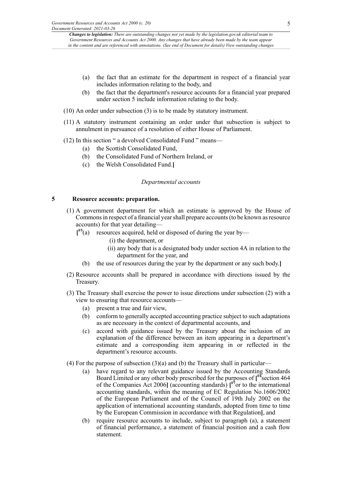- (a) the fact that an estimate for the department in respect of a financial year includes information relating to the body, and
- (b) the fact that the department's resource accounts for a financial year prepared under section 5 include information relating to the body.
- (10) An order under subsection (3) is to be made by statutory instrument.
- (11) A statutory instrument containing an order under that subsection is subject to annulment in pursuance of a resolution of either House of Parliament.
- (12) In this section " a devolved Consolidated Fund " means—
	- (a) the Scottish Consolidated Fund,
	- (b) the Consolidated Fund of Northern Ireland, or
	- (c) the Welsh Consolidated Fund.**]**

### *Departmental accounts*

### **5 Resource accounts: preparation.**

- <span id="page-4-0"></span>(1) A government department for which an estimate is approved by the House of Commons in respect of a financial year shall prepare accounts (to be known as resource accounts) for that year detailing—
	- **[ [F5](#page-5-0)**(a) resources acquired, held or disposed of during the year by—
		- (i) the department, or
		- (ii) any body that is a designated body under section 4A in relation to the department for the year, and
		- (b) the use of resources during the year by the department or any such body.**]**
- (2) Resource accounts shall be prepared in accordance with directions issued by the Treasury.
- (3) The Treasury shall exercise the power to issue directions under subsection (2) with a view to ensuring that resource accounts—
	- (a) present a true and fair view,
	- (b) conform to generally accepted accounting practice subject to such adaptations as are necessary in the context of departmental accounts, and
	- (c) accord with guidance issued by the Treasury about the inclusion of an explanation of the difference between an item appearing in a department's estimate and a corresponding item appearing in or reflected in the department's resource accounts.
- <span id="page-4-2"></span><span id="page-4-1"></span>(4) For the purpose of subsection  $(3)(a)$  and (b) the Treasury shall in particular—
	- (a) have regard to any relevant guidance issued by the Accounting Standards Board Limited or any other body prescribed for the purposes of **[ [F6](#page-5-1)**section 464 of the Companies Act 2006**]** (accounting standards) **[ [F7](#page-5-2)**or to the international accounting standards, within the meaning of EC Regulation No.1606/2002 of the European Parliament and of the Council of 19th July 2002 on the application of international accounting standards, adopted from time to time by the European Commission in accordance with that Regulation**]**, and
	- (b) require resource accounts to include, subject to paragraph (a), a statement of financial performance, a statement of financial position and a cash flow statement.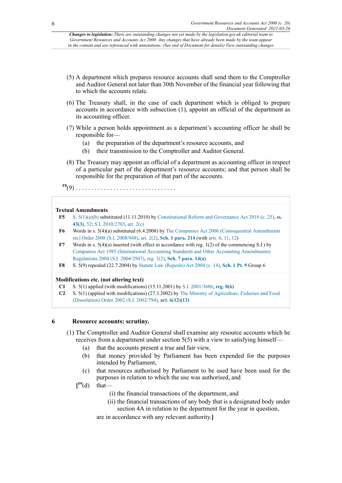- (5) A department which prepares resource accounts shall send them to the Comptroller and Auditor General not later than 30th November of the financial year following that to which the accounts relate.
- (6) The Treasury shall, in the case of each department which is obliged to prepare accounts in accordance with subsection (1), appoint an official of the department as its accounting officer.
- (7) While a person holds appointment as a department's accounting officer he shall be responsible for—
	- (a) the preparation of the department's resource accounts, and
	- (b) their transmission to the Comptroller and Auditor General.
- (8) The Treasury may appoint an official of a department as accounting officer in respect of a particular part of the department's resource accounts; and that person shall be responsible for the preparation of that part of the accounts.
- <span id="page-5-4"></span>**[F8](#page-5-3)**(9) . . . . . . . . . . . . . . . . . . . . . . . . . . . . . . . .

### **Textual Amendments**

- <span id="page-5-0"></span>**[F5](#page-4-0)** [S. 5\(1\)\(a\)](http://www.legislation.gov.uk/id/ukpga/2000/20/section/5/1/a)[\(b\)](http://www.legislation.gov.uk/id/ukpga/2000/20/section/5/1/b) substituted (11.11.2010) by [Constitutional Reform and Governance Act 2010 \(c. 25\)](http://www.legislation.gov.uk/id/ukpga/2010/25), **[ss.](http://www.legislation.gov.uk/id/ukpga/2010/25/section/43/3) [43\(3\)](http://www.legislation.gov.uk/id/ukpga/2010/25/section/43/3)**, [52;](http://www.legislation.gov.uk/id/ukpga/2010/25/section/52) [S.I. 2010/2703,](http://www.legislation.gov.uk/id/uksi/2010/2703) [art. 2\(c\)](http://www.legislation.gov.uk/id/uksi/2010/2703/article/2/c)
- <span id="page-5-1"></span>**[F6](#page-4-1)** Words in s. 5(4)(a) substituted (6.4.2008) by [The Companies Act 2006 \(Consequential Amendments](http://www.legislation.gov.uk/id/uksi/2008/948) [etc\) Order 2008 \(S.I. 2008/948\),](http://www.legislation.gov.uk/id/uksi/2008/948) [art. 2\(2\)](http://www.legislation.gov.uk/id/uksi/2008/948/article/2/2), **[Sch. 1 para. 214](http://www.legislation.gov.uk/id/uksi/2008/948/schedule/1/paragraph/214)** (with [arts. 6](http://www.legislation.gov.uk/id/uksi/2008/948/article/6), [11,](http://www.legislation.gov.uk/id/uksi/2008/948/article/11) [12](http://www.legislation.gov.uk/id/uksi/2008/948/article/12))
- <span id="page-5-2"></span>**[F7](#page-4-2)** Words in s. 5(4)(a) inserted (with effect in accordance with reg. 1(2) of the commencing S.I.) by [Companies Act 1985 \(International Accounting Standards and Other Accounting Amendments\)](http://www.legislation.gov.uk/id/uksi/2004/2947) [Regulations 2004 \(S.I. 2004/2947\)](http://www.legislation.gov.uk/id/uksi/2004/2947), [reg. 1\(2\),](http://www.legislation.gov.uk/id/uksi/2004/2947/regulation/1/2) **[Sch. 7 para. 14\(a\)](http://www.legislation.gov.uk/id/uksi/2004/2947/schedule/7/paragraph/14/a)**
- <span id="page-5-3"></span>**[F8](#page-5-4)** S. 5(9) repealed (22.7.2004) by [Statute Law \(Repeals\) Act 2004 \(c. 14\),](http://www.legislation.gov.uk/id/ukpga/2004/14) **[Sch. 1 Pt. 9](http://www.legislation.gov.uk/id/ukpga/2004/14/schedule/1/part/9)** Group 6

### **Modifications etc. (not altering text)**

- **C1** S. 5(1) applied (with modifications) (15.11.2001) by [S.I. 2001/3686](http://www.legislation.gov.uk/id/uksi/2001/3686), **reg. [8\(6\)](http://www.legislation.gov.uk/id/uksi/2001/3686/regulation/8/6)**
- **C2** S. 5(1) (applied with modifications) (27.3.2002) by [The Ministry of Agriculture, Fisheries and Food](http://www.legislation.gov.uk/id/uksi/2002/794) [\(Dissolution\) Order 2002 \(S.I. 2002/794\),](http://www.legislation.gov.uk/id/uksi/2002/794) **[art. 6\(12\)\(13\)](http://www.legislation.gov.uk/id/uksi/2002/794/article/6/12/13)**

### **6 Resource accounts: scrutiny.**

- (1) The Comptroller and Auditor General shall examine any resource accounts which he receives from a department under section 5(5) with a view to satisfying himself—
	- (a) that the accounts present a true and fair view,
	- (b) that money provided by Parliament has been expended for the purposes intended by Parliament,
	- (c) that resources authorised by Parliament to be used have been used for the purposes in relation to which the use was authorised, and
	- $[$ <sup>[F9](#page-6-0)</sup>(d) that—
		- (i) the financial transactions of the department, and
		- (ii) the financial transactions of any body that is a designated body under section 4A in relation to the department for the year in question,

<span id="page-5-5"></span>are in accordance with any relevant authority.**]**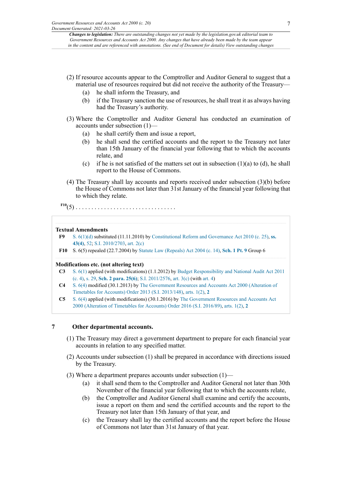- (2) If resource accounts appear to the Comptroller and Auditor General to suggest that a material use of resources required but did not receive the authority of the Treasury—
	- (a) he shall inform the Treasury, and
	- (b) if the Treasury sanction the use of resources, he shall treat it as always having had the Treasury's authority.
- (3) Where the Comptroller and Auditor General has conducted an examination of accounts under subsection (1)—
	- (a) he shall certify them and issue a report,
	- (b) he shall send the certified accounts and the report to the Treasury not later than 15th January of the financial year following that to which the accounts relate, and
	- (c) if he is not satisfied of the matters set out in subsection  $(1)(a)$  to  $(d)$ , he shall report to the House of Commons.
- (4) The Treasury shall lay accounts and reports received under subsection (3)(b) before the House of Commons not later than 31st January of the financial year following that to which they relate.

<span id="page-6-2"></span>**[F10](#page-6-1)**(5) . . . . . . . . . . . . . . . . . . . . . . . . . . . . . . . .

### **Textual Amendments**

- <span id="page-6-0"></span>**[F9](#page-5-5)** [S. 6\(1\)\(d\)](http://www.legislation.gov.uk/id/ukpga/2000/20/section/6/1/d) substituted (11.11.2010) by [Constitutional Reform and Governance Act 2010 \(c. 25\)](http://www.legislation.gov.uk/id/ukpga/2010/25), **[ss.](http://www.legislation.gov.uk/id/ukpga/2010/25/section/43/4) [43\(4\)](http://www.legislation.gov.uk/id/ukpga/2010/25/section/43/4)**, [52;](http://www.legislation.gov.uk/id/ukpga/2010/25/section/52) [S.I. 2010/2703,](http://www.legislation.gov.uk/id/uksi/2010/2703) [art. 2\(c\)](http://www.legislation.gov.uk/id/uksi/2010/2703/article/2/c)
- <span id="page-6-1"></span>**[F10](#page-6-2)** S. 6(5) repealed (22.7.2004) by [Statute Law \(Repeals\) Act 2004 \(c. 14\),](http://www.legislation.gov.uk/id/ukpga/2004/14) **[Sch. 1 Pt. 9](http://www.legislation.gov.uk/id/ukpga/2004/14/schedule/1/part/9)** Group 6

### **Modifications etc. (not altering text)**

- **C3** [S. 6\(1\)](http://www.legislation.gov.uk/id/ukpga/2000/20/section/6/1) applied (with modifications) (1.1.2012) by Budget [Responsibility](http://www.legislation.gov.uk/id/ukpga/2011/4) and National Audit Act 2011 [\(c. 4\),](http://www.legislation.gov.uk/id/ukpga/2011/4) [s. 29](http://www.legislation.gov.uk/id/ukpga/2011/4/section/29), **[Sch. 2 para. 25\(6\)](http://www.legislation.gov.uk/id/ukpga/2011/4/schedule/2/paragraph/25/6)**; S.I. [2011/2576,](http://www.legislation.gov.uk/id/uksi/2011/2576) [art. 3\(c\)](http://www.legislation.gov.uk/id/uksi/2011/2576/article/3/c) (with [art. 4\)](http://www.legislation.gov.uk/id/uksi/2011/2576/article/4)
- **C4** [S. 6\(4\)](http://www.legislation.gov.uk/id/ukpga/2000/20/section/6/4) modified (30.1.2013) by [The Government Resources and Accounts Act 2000 \(Alteration of](http://www.legislation.gov.uk/id/uksi/2013/148) [Timetables](http://www.legislation.gov.uk/id/uksi/2013/148) for Accounts) Order 2013 (S.I. 2013/148), [arts. 1\(2\),](http://www.legislation.gov.uk/id/uksi/2013/148/article/1/2) **[2](http://www.legislation.gov.uk/id/uksi/2013/148/article/2)**
- **C5** [S. 6\(4\)](http://www.legislation.gov.uk/id/ukpga/2000/20/section/6/4) applied (with modifications) (30.1.2016) by [The Government Resources and Accounts Act](http://www.legislation.gov.uk/id/uksi/2016/89) 2000 (Alteration of [Timetables](http://www.legislation.gov.uk/id/uksi/2016/89) for Accounts) Order 2016 (S.I. 2016/89), [arts. 1\(2\),](http://www.legislation.gov.uk/id/uksi/2016/89/article/1/2) **[2](http://www.legislation.gov.uk/id/uksi/2016/89/article/2)**

### **7 Other departmental accounts.**

- (1) The Treasury may direct a government department to prepare for each financial year accounts in relation to any specified matter.
- (2) Accounts under subsection (1) shall be prepared in accordance with directions issued by the Treasury.

(3) Where a department prepares accounts under subsection (1)—

- (a) it shall send them to the Comptroller and Auditor General not later than 30th November of the financial year following that to which the accounts relate,
- (b) the Comptroller and Auditor General shall examine and certify the accounts, issue a report on them and send the certified accounts and the report to the Treasury not later than 15th January of that year, and
- (c) the Treasury shall lay the certified accounts and the report before the House of Commons not later than 31st January of that year.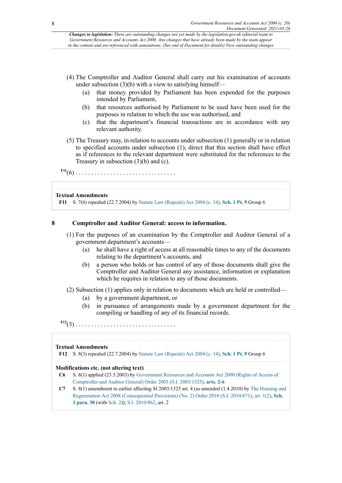- (4) The Comptroller and Auditor General shall carry out his examination of accounts under subsection  $(3)(b)$  with a view to satisfying himself—
	- (a) that money provided by Parliament has been expended for the purposes intended by Parliament,
	- (b) that resources authorised by Parliament to be used have been used for the purposes in relation to which the use was authorised, and
	- (c) that the department's financial transactions are in accordance with any relevant authority.
- (5) The Treasury may, in relation to accounts under subsection (1) generally or in relation to specified accounts under subsection (1), direct that this section shall have effect as if references to the relevant department were substituted for the references to the Treasury in subsection (3)(b) and (c).

<span id="page-7-1"></span>**[F11](#page-7-0)** (6) . . . . . . . . . . . . . . . . . . . . . . . . . . . . . . . .

### **Textual Amendments**

<span id="page-7-0"></span>**[F11](#page-7-1)** S. 7(6) repealed (22.7.2004) by [Statute Law \(Repeals\) Act 2004 \(c. 14\),](http://www.legislation.gov.uk/id/ukpga/2004/14) **[Sch. 1 Pt. 9](http://www.legislation.gov.uk/id/ukpga/2004/14/schedule/1/part/9)** Group 6

### **8 Comptroller and Auditor General: access to information.**

- (1) For the purposes of an examination by the Comptroller and Auditor General of a government department's accounts—
	- (a) he shall have a right of access at all reasonable times to any of the documents relating to the department's accounts, and
	- (b) a person who holds or has control of any of those documents shall give the Comptroller and Auditor General any assistance, information or explanation which he requires in relation to any of those documents.
- (2) Subsection (1) applies only in relation to documents which are held or controlled—
	- (a) by a government department, or
	- (b) in pursuance of arrangements made by a government department for the compiling or handling of any of its financial records.
- <span id="page-7-3"></span>**[F12](#page-7-2)**(3) . . . . . . . . . . . . . . . . . . . . . . . . . . . . . . . .

### **Textual Amendments**

<span id="page-7-2"></span>**[F12](#page-7-3)** S. 8(3) repealed (22.7.2004) by [Statute Law \(Repeals\) Act 2004 \(c. 14\),](http://www.legislation.gov.uk/id/ukpga/2004/14) **[Sch. 1 Pt. 9](http://www.legislation.gov.uk/id/ukpga/2004/14/schedule/1/part/9)** Group 6

### **Modifications etc. (not altering text)**

- **C6** S. 8(1) applied (23.5.2003) by [Government Resources and Accounts Act 2000 \(Rights of Access of](http://www.legislation.gov.uk/id/uksi/2003/1325) [Comptroller and Auditor General\) Order 2003 \(S.I. 2003/1325\),](http://www.legislation.gov.uk/id/uksi/2003/1325) **[arts. 2-6](http://www.legislation.gov.uk/id/uksi/2003/1325/article/2)**
- **C7** S. 8(1) amendment to earlier affecting SI 2003/1325 art. 4 (as amended (1.4.2010) by [The Housing and](http://www.legislation.gov.uk/id/uksi/2010/671) [Regeneration Act 2008 \(Consequential Provisions\) \(No. 2\) Order 2010 \(S.I. 2010/671\),](http://www.legislation.gov.uk/id/uksi/2010/671) [art. 1\(2\)](http://www.legislation.gov.uk/id/uksi/2010/671/article/1/2), **[Sch.](http://www.legislation.gov.uk/id/uksi/2010/671/schedule/1/paragraph/30) [1 para. 30](http://www.legislation.gov.uk/id/uksi/2010/671/schedule/1/paragraph/30)** (with [Sch. 2\)](http://www.legislation.gov.uk/id/uksi/2010/671/schedule/2)); [S.I. 2010/862](http://www.legislation.gov.uk/id/uksi/2010/862), art. 2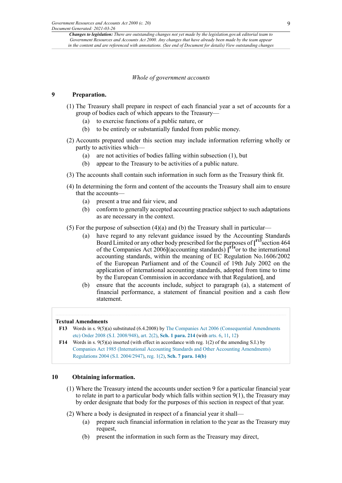### *Whole of government accounts*

### **9 Preparation.**

- (1) The Treasury shall prepare in respect of each financial year a set of accounts for a group of bodies each of which appears to the Treasury—
	- (a) to exercise functions of a public nature, or
	- (b) to be entirely or substantially funded from public money.
- (2) Accounts prepared under this section may include information referring wholly or partly to activities which—
	- (a) are not activities of bodies falling within subsection (1), but
	- (b) appear to the Treasury to be activities of a public nature.
- (3) The accounts shall contain such information in such form as the Treasury think fit.
- (4) In determining the form and content of the accounts the Treasury shall aim to ensure that the accounts—
	- (a) present a true and fair view, and
	- (b) conform to generally accepted accounting practice subject to such adaptations as are necessary in the context.
- <span id="page-8-3"></span><span id="page-8-2"></span>(5) For the purpose of subsection (4)(a) and (b) the Treasury shall in particular—
	- (a) have regard to any relevant guidance issued by the Accounting Standards Board Limited or any other body prescribed for the purposes of **[ [F13](#page-8-0)**section 464 of the Companies Act 2006**]**(accounting standards) **[ [F14](#page-8-1)**or to the international accounting standards, within the meaning of EC Regulation No.1606/2002 of the European Parliament and of the Council of 19th July 2002 on the application of international accounting standards, adopted from time to time by the European Commission in accordance with that Regulation**]**, and
	- (b) ensure that the accounts include, subject to paragraph (a), a statement of financial performance, a statement of financial position and a cash flow statement.

### **Textual Amendments**

- <span id="page-8-0"></span>**[F13](#page-8-2)** Words in s. 9(5)(a) substituted (6.4.2008) by [The Companies Act 2006 \(Consequential Amendments](http://www.legislation.gov.uk/id/uksi/2008/948) [etc\) Order 2008 \(S.I. 2008/948\),](http://www.legislation.gov.uk/id/uksi/2008/948) [art. 2\(2\)](http://www.legislation.gov.uk/id/uksi/2008/948/article/2/2), **[Sch. 1 para. 214](http://www.legislation.gov.uk/id/uksi/2008/948/schedule/1/paragraph/214)** (with [arts. 6](http://www.legislation.gov.uk/id/uksi/2008/948/article/6), [11,](http://www.legislation.gov.uk/id/uksi/2008/948/article/11) [12](http://www.legislation.gov.uk/id/uksi/2008/948/article/12))
- <span id="page-8-1"></span>**[F14](#page-8-3)** Words in s. 9(5)(a) inserted (with effect in accordance with reg. 1(2) of the amending S.I.) by [Companies Act 1985 \(International Accounting Standards and Other Accounting Amendments\)](http://www.legislation.gov.uk/id/uksi/2004/2947) [Regulations 2004 \(S.I. 2004/2947\)](http://www.legislation.gov.uk/id/uksi/2004/2947), [reg. 1\(2\),](http://www.legislation.gov.uk/id/uksi/2004/2947/regulation/1/2) **[Sch. 7 para. 14\(b\)](http://www.legislation.gov.uk/id/uksi/2004/2947/schedule/7/paragraph/14/b)**

### **10 Obtaining information.**

- (1) Where the Treasury intend the accounts under section 9 for a particular financial year to relate in part to a particular body which falls within section  $9(1)$ , the Treasury may by order designate that body for the purposes of this section in respect of that year.
- (2) Where a body is designated in respect of a financial year it shall—
	- (a) prepare such financial information in relation to the year as the Treasury may request,
	- (b) present the information in such form as the Treasury may direct,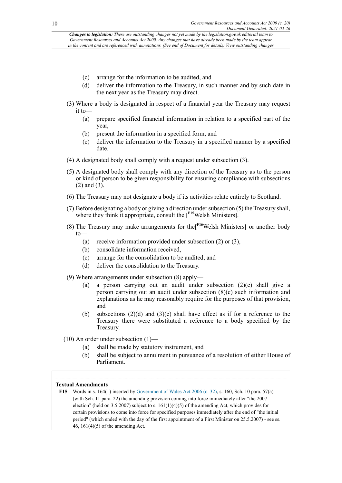- (c) arrange for the information to be audited, and
- (d) deliver the information to the Treasury, in such manner and by such date in the next year as the Treasury may direct.
- (3) Where a body is designated in respect of a financial year the Treasury may request it to—
	- (a) prepare specified financial information in relation to a specified part of the year,
	- (b) present the information in a specified form, and
	- (c) deliver the information to the Treasury in a specified manner by a specified date.
- (4) A designated body shall comply with a request under subsection (3).
- (5) A designated body shall comply with any direction of the Treasury as to the person or kind of person to be given responsibility for ensuring compliance with subsections (2) and (3).
- (6) The Treasury may not designate a body if its activities relate entirely to Scotland.
- <span id="page-9-1"></span>(7) Before designating a body or giving a direction undersubsection (5) the Treasury shall, where they think it appropriate, consult the **[ [F15](#page-9-0)**Welsh Ministers**]**.
- <span id="page-9-2"></span>(8) The Treasury may make arrangements for the**[ [F16](#page-10-0)**Welsh Ministers**]** or another body to—
	- (a) receive information provided under subsection (2) or (3),
	- (b) consolidate information received,
	- (c) arrange for the consolidation to be audited, and
	- (d) deliver the consolidation to the Treasury.
- (9) Where arrangements under subsection (8) apply—
	- (a) a person carrying out an audit under subsection (2)(c) shall give a person carrying out an audit under subsection (8)(c) such information and explanations as he may reasonably require for the purposes of that provision, and
	- (b) subsections (2)(d) and (3)(c) shall have effect as if for a reference to the Treasury there were substituted a reference to a body specified by the Treasury.
- (10) An order under subsection  $(1)$ 
	- (a) shall be made by statutory instrument, and
	- (b) shall be subject to annulment in pursuance of a resolution of either House of Parliament.

### **Textual Amendments**

<span id="page-9-0"></span>**[F15](#page-9-1)** Words in s. 164(1) inserted by [Government](http://www.legislation.gov.uk/id/ukpga/2006/32) of Wales Act 2006 (c. 32), s. 160, Sch. 10 para. 57(a) (with Sch. 11 para. 22) the amending provision coming into force immediately after "the 2007 election" (held on 3.5.2007) subject to s.  $161(1)(4)(5)$  of the amending Act, which provides for certain provisions to come into force for specified purposes immediately after the end of "the initial period" (which ended with the day of the first appointment of a First Minister on 25.5.2007) - see ss. 46, 161(4)(5) of the amending Act.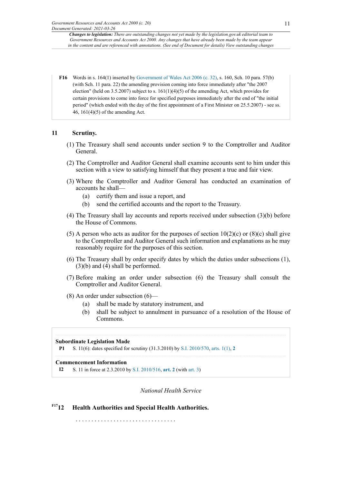<span id="page-10-0"></span>**[F16](#page-9-2)** Words in s. 164(1) inserted by [Government](http://www.legislation.gov.uk/id/ukpga/2006/32) of Wales Act 2006 (c. 32), s. 160, Sch. 10 para. 57(b) (with Sch. 11 para. 22) the amending provision coming into force immediately after "the 2007 election" (held on 3.5.2007) subject to s.  $161(1)(4)(5)$  of the amending Act, which provides for certain provisions to come into force for specified purposes immediately after the end of "the initial period" (which ended with the day of the first appointment of a First Minister on 25.5.2007) - see ss. 46, 161(4)(5) of the amending Act.

### **11 Scrutiny.**

- (1) The Treasury shall send accounts under section 9 to the Comptroller and Auditor General.
- (2) The Comptroller and Auditor General shall examine accounts sent to him under this section with a view to satisfying himself that they present a true and fair view.
- (3) Where the Comptroller and Auditor General has conducted an examination of accounts he shall—
	- (a) certify them and issue a report, and
	- (b) send the certified accounts and the report to the Treasury.
- (4) The Treasury shall lay accounts and reports received under subsection (3)(b) before the House of Commons.
- (5) A person who acts as auditor for the purposes of section  $10(2)(c)$  or  $(8)(c)$  shall give to the Comptroller and Auditor General such information and explanations as he may reasonably require for the purposes of this section.
- (6) The Treasury shall by order specify dates by which the duties under subsections (1), (3)(b) and (4) shall be performed.
- (7) Before making an order under subsection (6) the Treasury shall consult the Comptroller and Auditor General.
- (8) An order under subsection (6)—
	- (a) shall be made by statutory instrument, and
	- (b) shall be subject to annulment in pursuance of a resolution of the House of Commons.

### **Subordinate Legislation Made**

```
P1 S. 11(6): dates specified for scrutiny (31.3.2010) by S.I. 2010/570, arts. 1(1), 2
```
### **Commencement Information**

**I2** S. 11 in force at 2.3.2010 by [S.I. 2010/516,](http://www.legislation.gov.uk/id/uksi/2010/516) **[art. 2](http://www.legislation.gov.uk/id/uksi/2010/516/article/2)** (with [art. 3\)](http://www.legislation.gov.uk/id/uksi/2010/516/article/3)

### *National Health Service*

## <span id="page-10-1"></span>**[F17](#page-11-0)12 Health Authorities and Special Health Authorities.**

. . . . . . . . . . . . . . . . . . . . . . . . . . . . . . . .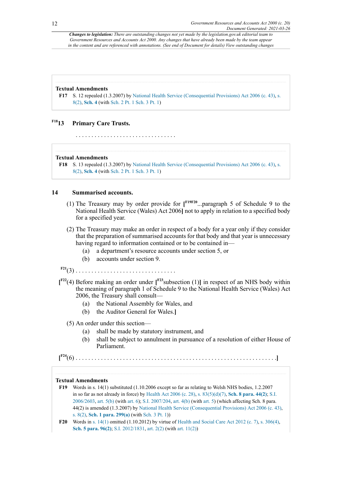#### **Textual Amendments**

<span id="page-11-0"></span>**[F17](#page-10-1)** S. 12 repealed (1.3.2007) by [National Health Service \(Consequential Provisions\) Act 2006 \(c. 43\),](http://www.legislation.gov.uk/id/ukpga/2006/43) [s.](http://www.legislation.gov.uk/id/ukpga/2006/43/section/8/2) [8\(2\),](http://www.legislation.gov.uk/id/ukpga/2006/43/section/8/2) **[Sch. 4](http://www.legislation.gov.uk/id/ukpga/2006/43/schedule/4)** (with [Sch. 2 Pt. 1 Sch. 3 Pt. 1](http://www.legislation.gov.uk/id/ukpga/2006/43/schedule/2/part/1/schedule/3/part/1))

### <span id="page-11-2"></span>**[F18](#page-11-1)13 Primary Care Trusts.**

. . . . . . . . . . . . . . . . . . . . . . . . . . . . . . . .

#### **Textual Amendments**

<span id="page-11-1"></span>**[F18](#page-11-2)** S. 13 repealed (1.3.2007) by [National Health Service \(Consequential Provisions\) Act 2006 \(c. 43\),](http://www.legislation.gov.uk/id/ukpga/2006/43) [s.](http://www.legislation.gov.uk/id/ukpga/2006/43/section/8/2) [8\(2\),](http://www.legislation.gov.uk/id/ukpga/2006/43/section/8/2) **[Sch. 4](http://www.legislation.gov.uk/id/ukpga/2006/43/schedule/4)** (with [Sch. 2 Pt. 1 Sch. 3 Pt. 1](http://www.legislation.gov.uk/id/ukpga/2006/43/schedule/2/part/1/schedule/3/part/1))

### **14 Summarised accounts.**

- <span id="page-11-6"></span><span id="page-11-5"></span>(1) The Treasury may by order provide for **[ [F19](#page-11-3)[F20](#page-11-4)** ...paragraph 5 of Schedule 9 to the National Health Service (Wales) Act 2006**]** not to apply in relation to a specified body for a specified year.
- (2) The Treasury may make an order in respect of a body for a year only if they consider that the preparation of summarised accounts for that body and that year is unnecessary having regard to information contained or to be contained in—
	- (a) a department's resource accounts under section 5, or
	- (b) accounts under section 9.

<span id="page-11-9"></span><span id="page-11-8"></span><span id="page-11-7"></span>

- **[F21](#page-12-0)**(3) . . . . . . . . . . . . . . . . . . . . . . . . . . . . . . . . **[ [F22](#page-12-1)**(4) Before making an order under **[ [F23](#page-12-2)**subsection (1)**]** in respect of an NHS body within the meaning of paragraph 1 of Schedule 9 to the National Health Service (Wales) Act
	- 2006, the Treasury shall consult—
		- (a) the National Assembly for Wales, and
		- (b) the Auditor General for Wales.**]**
	- (5) An order under this section—
		- (a) shall be made by statutory instrument, and
		- (b) shall be subject to annulment in pursuance of a resolution of either House of Parliament.

```
[
F24(6) . . . . . . . . . . . . . . . . . . . . . . . . . . . . . . . . . . . . . . . . . . . . . . . . . . . . . . . . . . . . . . . .]
```
#### **Textual Amendments**

- <span id="page-11-3"></span>**[F19](#page-11-5)** Words in s. 14(1) substituted (1.10.2006 except so far as relating to Welsh NHS bodies, 1.2.2007 in so far as not already in force) by [Health Act 2006 \(c. 28\)](http://www.legislation.gov.uk/id/ukpga/2006/28), [s. 83\(5\)\(d\)](http://www.legislation.gov.uk/id/ukpga/2006/28/section/83/5/d)[\(7\)](http://www.legislation.gov.uk/id/ukpga/2006/28/section/83/7), **[Sch. 8 para. 44\(2\)](http://www.legislation.gov.uk/id/ukpga/2006/28/schedule/8/paragraph/44/2)**; [S.I.](http://www.legislation.gov.uk/id/uksi/2006/2603) [2006/2603](http://www.legislation.gov.uk/id/uksi/2006/2603), [art. 5\(b\)](http://www.legislation.gov.uk/id/uksi/2006/2603/article/5/b) (with [art. 6\)](http://www.legislation.gov.uk/id/uksi/2006/2603/article/6); [S.I. 2007/204](http://www.legislation.gov.uk/id/uksi/2007/204), [art. 4\(b\)](http://www.legislation.gov.uk/id/uksi/2007/204/article/4/b) (with [art. 5\)](http://www.legislation.gov.uk/id/uksi/2007/204/article/5) (which affecting Sch. 8 para. 44(2) is amended (1.3.2007) by [National Health Service \(Consequential Provisions\) Act 2006 \(c. 43\),](http://www.legislation.gov.uk/id/ukpga/2006/43) [s. 8\(2\),](http://www.legislation.gov.uk/id/ukpga/2006/43/section/8/2) **[Sch. 1 para. 299\(a\)](http://www.legislation.gov.uk/id/ukpga/2006/43/schedule/1/paragraph/299/a)** (with [Sch. 3 Pt. 1\)](http://www.legislation.gov.uk/id/ukpga/2006/43/schedule/3/part/1))
- <span id="page-11-4"></span>**[F20](#page-11-6)** Words in [s. 14\(1\)](http://www.legislation.gov.uk/id/ukpga/2000/20/section/14/1) omitted (1.10.2012) by virtue of [Health and Social Care Act 2012 \(c. 7\)](http://www.legislation.gov.uk/id/ukpga/2012/7), [s. 306\(4\),](http://www.legislation.gov.uk/id/ukpga/2012/7/section/306/4) **[Sch. 5 para. 96\(2\)](http://www.legislation.gov.uk/id/ukpga/2012/7/schedule/5/paragraph/96/2)**; [S.I. 2012/1831,](http://www.legislation.gov.uk/id/uksi/2012/1831) [art. 2\(2\)](http://www.legislation.gov.uk/id/uksi/2012/1831/article/2/2) (with art. [11\(2\)](http://www.legislation.gov.uk/id/uksi/2012/1831/article/11/2))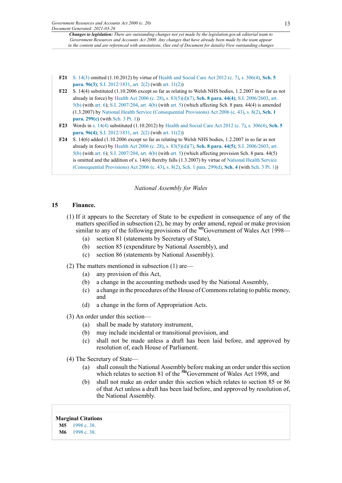- <span id="page-12-0"></span>**[F21](#page-11-7)** [S. 14\(3\)](http://www.legislation.gov.uk/id/ukpga/2000/20/section/14/3) omitted (1.10.2012) by virtue of [Health and Social Care Act 2012 \(c. 7\)](http://www.legislation.gov.uk/id/ukpga/2012/7), [s. 306\(4\)](http://www.legislation.gov.uk/id/ukpga/2012/7/section/306/4), **[Sch. 5](http://www.legislation.gov.uk/id/ukpga/2012/7/schedule/5/paragraph/96/3) [para. 96\(3\)](http://www.legislation.gov.uk/id/ukpga/2012/7/schedule/5/paragraph/96/3)**; [S.I. 2012/1831,](http://www.legislation.gov.uk/id/uksi/2012/1831) [art. 2\(2\)](http://www.legislation.gov.uk/id/uksi/2012/1831/article/2/2) (with art. [11\(2\)\)](http://www.legislation.gov.uk/id/uksi/2012/1831/article/11/2)
- <span id="page-12-1"></span>**[F22](#page-11-8)** S. 14(4) substituted (1.10.2006 except so far as relating to Welsh NHS bodies, 1.2.2007 in so far as not already in force) by [Health Act 2006 \(c. 28\),](http://www.legislation.gov.uk/id/ukpga/2006/28) [s. 83\(5\)\(d\)](http://www.legislation.gov.uk/id/ukpga/2006/28/section/83/5/d)[\(7\),](http://www.legislation.gov.uk/id/ukpga/2006/28/section/83/7) **[Sch. 8 para. 44\(4\)](http://www.legislation.gov.uk/id/ukpga/2006/28/schedule/8/paragraph/44/3)**; [S.I. 2006/2603,](http://www.legislation.gov.uk/id/uksi/2006/2603) [art.](http://www.legislation.gov.uk/id/uksi/2006/2603/article/5/b)  $5(b)$  (with [art. 6\)](http://www.legislation.gov.uk/id/uksi/2006/2603/article/6); [S.I. 2007/204](http://www.legislation.gov.uk/id/uksi/2007/204), [art. 4\(b\)](http://www.legislation.gov.uk/id/uksi/2007/204/article/4/b) (with [art. 5\)](http://www.legislation.gov.uk/id/uksi/2007/204/article/5) (which affecting Sch. 8 para. 44(4) is amended (1.3.2007) by [National Health Service \(Consequential Provisions\) Act 2006 \(c. 43\)](http://www.legislation.gov.uk/id/ukpga/2006/43), [s. 8\(2\),](http://www.legislation.gov.uk/id/ukpga/2006/43/section/8/2) **[Sch. 1](http://www.legislation.gov.uk/id/ukpga/2006/43/schedule/1/paragraph/299/c) [para. 299\(c\)](http://www.legislation.gov.uk/id/ukpga/2006/43/schedule/1/paragraph/299/c)** (with [Sch. 3 Pt. 1](http://www.legislation.gov.uk/id/ukpga/2006/43/schedule/3/part/1)))
- <span id="page-12-2"></span>**[F23](#page-11-9)** Words in [s. 14\(4\)](http://www.legislation.gov.uk/id/ukpga/2000/20/section/14/4) substituted (1.10.2012) by [Health and Social Care Act 2012 \(c. 7\),](http://www.legislation.gov.uk/id/ukpga/2012/7) [s. 306\(4\)](http://www.legislation.gov.uk/id/ukpga/2012/7/section/306/4), **[Sch. 5](http://www.legislation.gov.uk/id/ukpga/2012/7/schedule/5/paragraph/96/4) [para. 96\(4\)](http://www.legislation.gov.uk/id/ukpga/2012/7/schedule/5/paragraph/96/4)**; [S.I. 2012/1831,](http://www.legislation.gov.uk/id/uksi/2012/1831) [art. 2\(2\)](http://www.legislation.gov.uk/id/uksi/2012/1831/article/2/2) (with art. [11\(2\)\)](http://www.legislation.gov.uk/id/uksi/2012/1831/article/11/2)
- <span id="page-12-3"></span>**[F24](#page-11-10)** S. 14(6) added (1.10.2006 except so far as relating to Welsh NHS bodies, 1.2.2007 in so far as not already in force) by [Health Act 2006 \(c. 28\),](http://www.legislation.gov.uk/id/ukpga/2006/28) [s. 83\(5\)\(d\)](http://www.legislation.gov.uk/id/ukpga/2006/28/section/83/5/d)[\(7\),](http://www.legislation.gov.uk/id/ukpga/2006/28/section/83/7) **[Sch. 8 para. 44\(5\)](http://www.legislation.gov.uk/id/ukpga/2006/28/schedule/8/paragraph/44/3)**; [S.I. 2006/2603,](http://www.legislation.gov.uk/id/uksi/2006/2603) [art.](http://www.legislation.gov.uk/id/uksi/2006/2603/article/5/b) [5\(b\)](http://www.legislation.gov.uk/id/uksi/2006/2603/article/5/b) (with [art. 6\)](http://www.legislation.gov.uk/id/uksi/2006/2603/article/6); [S.I. 2007/204](http://www.legislation.gov.uk/id/uksi/2007/204), [art. 4\(b\)](http://www.legislation.gov.uk/id/uksi/2007/204/article/4/b) (with [art. 5\)](http://www.legislation.gov.uk/id/uksi/2007/204/article/5) (which affecting provision Sch. 8 para. 44(5) is omitted and the addition of s. 14(6) thereby falls (1.3.2007) by virtue of [National Health Service](http://www.legislation.gov.uk/id/ukpga/2006/43) [\(Consequential Provisions\) Act 2006 \(c. 43\),](http://www.legislation.gov.uk/id/ukpga/2006/43) [s. 8\(2\)](http://www.legislation.gov.uk/id/ukpga/2006/43/section/8/2), [Sch. 1 para. 299\(d\)](http://www.legislation.gov.uk/id/ukpga/2006/43/schedule/1/paragraph/299/d), **[Sch. 4](http://www.legislation.gov.uk/id/ukpga/2006/43/schedule/4)** (with [Sch. 3 Pt. 1\)](http://www.legislation.gov.uk/id/ukpga/2006/43/schedule/3/part/1))

### <span id="page-12-6"></span>*National Assembly for Wales*

### **15 Finance.**

- (1) If it appears to the Secretary of State to be expedient in consequence of any of the matters specified in subsection (2), he may by order amend, repeal or make provision similar to any of the following provisions of the <sup>[M5](#page-12-4)</sup>Government of Wales Act 1998-
	- (a) section 81 (statements by Secretary of State),
	- (b) section 85 (expenditure by National Assembly), and
	- (c) section 86 (statements by National Assembly).

(2) The matters mentioned in subsection (1) are—

- (a) any provision of this Act,
- (b) a change in the accounting methods used by the National Assembly,
- (c) a change in the procedures of the House of Commonsrelating to public money, and
- (d) a change in the form of Appropriation Acts.
- (3) An order under this section—
	- (a) shall be made by statutory instrument,
	- (b) may include incidental or transitional provision, and
	- (c) shall not be made unless a draft has been laid before, and approved by resolution of, each House of Parliament.

(4) The Secretary of State—

- <span id="page-12-7"></span>(a) shall consult the National Assembly before making an order under this section which relates to section 81 of the <sup>[M6](#page-12-5)</sup>Government of Wales Act 1998, and
- (b) shall not make an order under this section which relates to section 85 or 86 of that Act unless a draft has been laid before, and approved by resolution of, the National Assembly.

#### **Marginal Citations**

<span id="page-12-5"></span><span id="page-12-4"></span>**[M5](#page-12-6)** [1998 c. 38](http://www.legislation.gov.uk/id/ukpga/1998/38). **[M6](#page-12-7)** [1998 c. 38](http://www.legislation.gov.uk/id/ukpga/1998/38).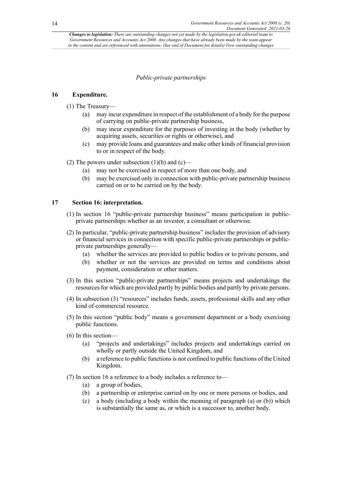### *Public-private partnerships*

### **16 Expenditure.**

- (1) The Treasury—
	- (a) may incur expenditure in respect of the establishment of a body for the purpose of carrying on public-private partnership business,
	- (b) may incur expenditure for the purposes of investing in the body (whether by acquiring assets, securities or rights or otherwise), and
	- (c) may provide loans and guarantees and make other kinds of financial provision to or in respect of the body.

### (2) The powers under subsection  $(1)(b)$  and  $(c)$ —

- (a) may not be exercised in respect of more than one body, and
- (b) may be exercised only in connection with public-private partnership business carried on or to be carried on by the body.

### **17 Section 16: interpretation.**

- (1) In section 16 "public-private partnership business" means participation in publicprivate partnerships whether as an investor, a consultant or otherwise.
- (2) In particular, "public-private partnership business" includes the provision of advisory or financial services in connection with specific public-private partnerships or publicprivate partnerships generally—
	- (a) whether the services are provided to public bodies or to private persons, and
	- (b) whether or not the services are provided on terms and conditions about payment, consideration or other matters.
- (3) In this section "public-private partnerships" means projects and undertakings the resources for which are provided partly by public bodies and partly by private persons.
- (4) In subsection (3) "resources" includes funds, assets, professional skills and any other kind of commercial resource.
- (5) In this section "public body" means a government department or a body exercising public functions.
- (6) In this section—
	- (a) "projects and undertakings" includes projects and undertakings carried on wholly or partly outside the United Kingdom, and
	- (b) a reference to public functions is not confined to public functions of the United Kingdom.
- (7) In section 16 a reference to a body includes a reference to—
	- (a) a group of bodies,
	- (b) a partnership or enterprise carried on by one or more persons or bodies, and
	- (c) a body (including a body within the meaning of paragraph (a) or (b)) which is substantially the same as, or which is a successor to, another body.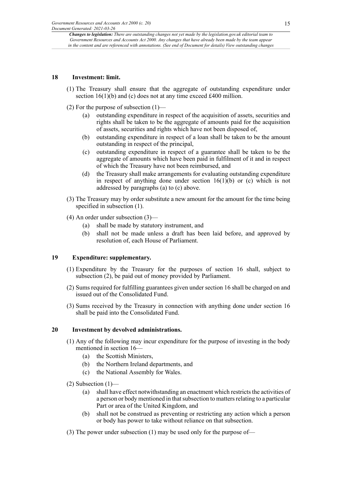### **18 Investment: limit.**

- (1) The Treasury shall ensure that the aggregate of outstanding expenditure under section 16(1)(b) and (c) does not at any time exceed £400 million.
- (2) For the purpose of subsection  $(1)$ 
	- (a) outstanding expenditure in respect of the acquisition of assets, securities and rights shall be taken to be the aggregate of amounts paid for the acquisition of assets, securities and rights which have not been disposed of,
	- (b) outstanding expenditure in respect of a loan shall be taken to be the amount outstanding in respect of the principal,
	- (c) outstanding expenditure in respect of a guarantee shall be taken to be the aggregate of amounts which have been paid in fulfilment of it and in respect of which the Treasury have not been reimbursed, and
	- (d) the Treasury shall make arrangements for evaluating outstanding expenditure in respect of anything done under section  $16(1)(b)$  or (c) which is not addressed by paragraphs (a) to (c) above.
- (3) The Treasury may by order substitute a new amount for the amount for the time being specified in subsection  $(1)$ .
- (4) An order under subsection (3)—
	- (a) shall be made by statutory instrument, and
	- (b) shall not be made unless a draft has been laid before, and approved by resolution of, each House of Parliament.

### **19 Expenditure: supplementary.**

- (1) Expenditure by the Treasury for the purposes of section 16 shall, subject to subsection (2), be paid out of money provided by Parliament.
- (2) Sums required for fulfilling guarantees given under section 16 shall be charged on and issued out of the Consolidated Fund.
- (3) Sums received by the Treasury in connection with anything done under section 16 shall be paid into the Consolidated Fund.

### **20 Investment by devolved administrations.**

- (1) Any of the following may incur expenditure for the purpose of investing in the body mentioned in section 16—
	- (a) the Scottish Ministers,
	- (b) the Northern Ireland departments, and
	- (c) the National Assembly for Wales.
- $(2)$  Subsection  $(1)$ 
	- (a) shall have effect notwithstanding an enactment which restricts the activities of a person or body mentioned in that subsection to matters relating to a particular Part or area of the United Kingdom, and
	- (b) shall not be construed as preventing or restricting any action which a person or body has power to take without reliance on that subsection.
- (3) The power under subsection (1) may be used only for the purpose of—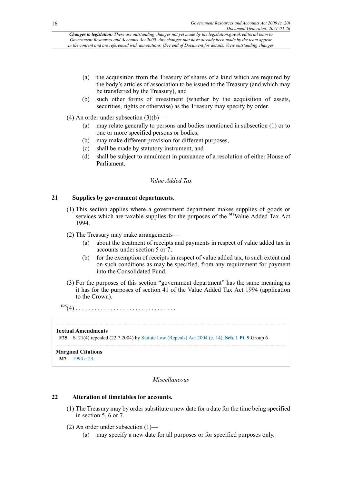- (a) the acquisition from the Treasury of shares of a kind which are required by the body's articles of association to be issued to the Treasury (and which may be transferred by the Treasury), and
- (b) such other forms of investment (whether by the acquisition of assets, securities, rights or otherwise) as the Treasury may specify by order.

(4) An order under subsection (3)(b)—

- (a) may relate generally to persons and bodies mentioned in subsection (1) or to one or more specified persons or bodies,
- (b) may make different provision for different purposes,
- (c) shall be made by statutory instrument, and
- (d) shall be subject to annulment in pursuance of a resolution of either House of Parliament.

### <span id="page-15-3"></span>*Value Added Tax*

### **21 Supplies by government departments.**

- (1) This section applies where a government department makes supplies of goods or services which are taxable supplies for the purposes of the **[M7](#page-15-0)**Value Added Tax Act 1994.
- (2) The Treasury may make arrangements—
	- (a) about the treatment of receipts and payments in respect of value added tax in accounts under section 5 or 7;
	- (b) for the exemption of receipts in respect of value added tax, to such extent and on such conditions as may be specified, from any requirement for payment into the Consolidated Fund.
- (3) For the purposes of this section "government department" has the same meaning as it has for the purposes of section 41 of the Value Added Tax Act 1994 (application to the Crown).

<span id="page-15-2"></span>**[F25](#page-15-1)**(4) . . . . . . . . . . . . . . . . . . . . . . . . . . . . . . . .

### **Textual Amendments**

<span id="page-15-1"></span>**[F25](#page-15-2)** S. 21(4) repealed (22.7.2004) by [Statute Law \(Repeals\) Act 2004 \(c. 14\)](http://www.legislation.gov.uk/id/ukpga/2004/14), **[Sch. 1 Pt. 9](http://www.legislation.gov.uk/id/ukpga/2004/14/schedule/1/part/9)** Group 6

#### <span id="page-15-0"></span>**Marginal Citations [M7](#page-15-3)** [1994 c.23](http://www.legislation.gov.uk/id/ukpga/1994/23).

### *Miscellaneous*

### **22 Alteration of timetables for accounts.**

- (1) The Treasury may by order substitute a new date for a date for the time being specified in section 5, 6 or 7.
- (2) An order under subsection (1)—
	- (a) may specify a new date for all purposes or for specified purposes only,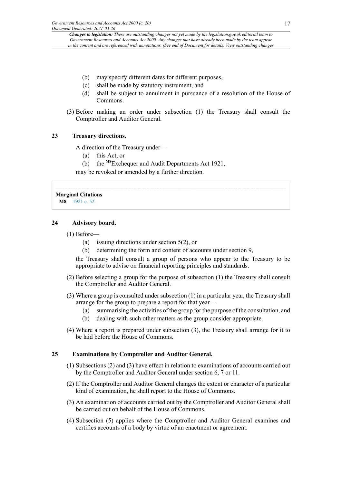- (b) may specify different dates for different purposes,
- (c) shall be made by statutory instrument, and
- (d) shall be subject to annulment in pursuance of a resolution of the House of Commons.
- (3) Before making an order under subsection (1) the Treasury shall consult the Comptroller and Auditor General.

### **23 Treasury directions.**

A direction of the Treasury under—

- (a) this Act, or
- <span id="page-16-1"></span>(b) the **[M8](#page-16-0)**Exchequer and Audit Departments Act 1921,

may be revoked or amended by a further direction.

<span id="page-16-0"></span>**Marginal Citations [M8](#page-16-1)** [1921 c. 52](http://www.legislation.gov.uk/id/ukpga/1921/52).

### **24 Advisory board.**

- (1) Before—
	- (a) issuing directions under section 5(2), or
	- (b) determining the form and content of accounts under section 9,

the Treasury shall consult a group of persons who appear to the Treasury to be appropriate to advise on financial reporting principles and standards.

- (2) Before selecting a group for the purpose of subsection (1) the Treasury shall consult the Comptroller and Auditor General.
- (3) Where a group is consulted under subsection (1) in a particular year, the Treasury shall arrange for the group to prepare a report for that year—
	- (a) summarising the activities of the group for the purpose of the consultation, and
	- (b) dealing with such other matters as the group consider appropriate.
- (4) Where a report is prepared under subsection (3), the Treasury shall arrange for it to be laid before the House of Commons.

### **25 Examinations by Comptroller and Auditor General.**

- (1) Subsections (2) and (3) have effect in relation to examinations of accounts carried out by the Comptroller and Auditor General under section 6, 7 or 11.
- (2) If the Comptroller and Auditor General changes the extent or character of a particular kind of examination, he shall report to the House of Commons.
- (3) An examination of accounts carried out by the Comptroller and Auditor General shall be carried out on behalf of the House of Commons.
- (4) Subsection (5) applies where the Comptroller and Auditor General examines and certifies accounts of a body by virtue of an enactment or agreement.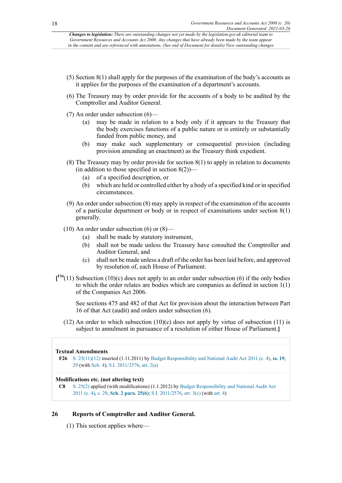- (5) Section 8(1) shall apply for the purposes of the examination of the body's accounts as it applies for the purposes of the examination of a department's accounts.
- (6) The Treasury may by order provide for the accounts of a body to be audited by the Comptroller and Auditor General.
- (7) An order under subsection (6)—
	- (a) may be made in relation to a body only if it appears to the Treasury that the body exercises functions of a public nature or is entirely or substantially funded from public money, and
	- (b) may make such supplementary or consequential provision (including provision amending an enactment) as the Treasury think expedient.
- (8) The Treasury may by order provide for section 8(1) to apply in relation to documents (in addition to those specified in section  $8(2)$ )—
	- (a) of a specified description, or
	- (b) which are held or controlled either by a body of a specified kind or in specified circumstances.
- (9) An order under subsection (8) may apply in respect of the examination of the accounts of a particular department or body or in respect of examinations under section 8(1) generally.
- (10) An order under subsection (6) or (8)—
	- (a) shall be made by statutory instrument,
	- (b) shall not be made unless the Treasury have consulted the Comptroller and Auditor General, and
	- (c) shall not be made unless a draft of the order has been laid before, and approved by resolution of, each House of Parliament.
- <span id="page-17-1"></span> $\int_{0}^{F26}(11)$  $\int_{0}^{F26}(11)$  $\int_{0}^{F26}(11)$  Subsection (10)(c) does not apply to an order under subsection (6) if the only bodies to which the order relates are bodies which are companies as defined in section 1(1) of the Companies Act 2006.

See sections 475 and 482 of that Act for provision about the interaction between Part 16 of that Act (audit) and orders under subsection (6).

 $(12)$  An order to which subsection  $(10)(c)$  does not apply by virtue of subsection  $(11)$  is subject to annulment in pursuance of a resolution of either House of Parliament.**]**

### **Textual Amendments**

<span id="page-17-0"></span>**[F26](#page-17-1)** S. [25\(11\)](http://www.legislation.gov.uk/id/ukpga/2000/20/section/25/11)[\(12\)](http://www.legislation.gov.uk/id/ukpga/2000/20/section/25/12) inserted (1.11.2011) by Budget [Responsibility](http://www.legislation.gov.uk/id/ukpga/2011/4) and National Audit Act 2011 (c. 4), **[ss. 19](http://www.legislation.gov.uk/id/ukpga/2011/4/section/19)**, [29](http://www.legislation.gov.uk/id/ukpga/2011/4/section/29) (with [Sch. 4\)](http://www.legislation.gov.uk/id/ukpga/2011/4/schedule/4); S.I. [2011/2576](http://www.legislation.gov.uk/id/uksi/2011/2576), [art. 2\(a\)](http://www.legislation.gov.uk/id/uksi/2011/2576/article/2/a)

### **Modifications etc. (not altering text)**

**C8** [S. 25\(2\)](http://www.legislation.gov.uk/id/ukpga/2000/20/section/25/2) applied (with modifications) (1.1.2012) by [Budget Responsibility and National Audit Act](http://www.legislation.gov.uk/id/ukpga/2011/4) [2011](http://www.legislation.gov.uk/id/ukpga/2011/4) (c. 4), [s. 29](http://www.legislation.gov.uk/id/ukpga/2011/4/section/29), **[Sch. 2 para. 25\(6\)](http://www.legislation.gov.uk/id/ukpga/2011/4/schedule/2/paragraph/25/6)**; S.I. [2011/2576,](http://www.legislation.gov.uk/id/uksi/2011/2576) [art. 3\(c\)](http://www.legislation.gov.uk/id/uksi/2011/2576/article/3/c) (with [art. 4](http://www.legislation.gov.uk/id/uksi/2011/2576/article/4))

### **26 Reports of Comptroller and Auditor General.**

(1) This section applies where—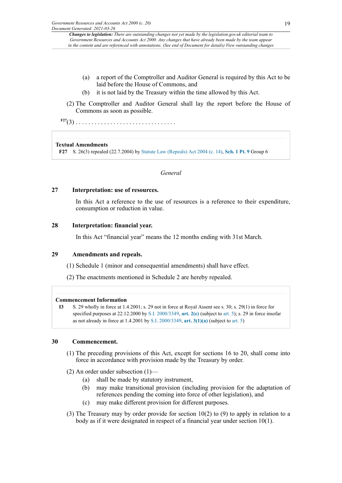- (a) a report of the Comptroller and Auditor General is required by this Act to be laid before the House of Commons, and
- (b) it is not laid by the Treasury within the time allowed by this Act.
- (2) The Comptroller and Auditor General shall lay the report before the House of Commons as soon as possible.

<span id="page-18-1"></span>**[F27](#page-18-0)**(3) . . . . . . . . . . . . . . . . . . . . . . . . . . . . . . . .

### **Textual Amendments**

<span id="page-18-0"></span>**[F27](#page-18-1)** S. 26(3) repealed (22.7.2004) by [Statute Law \(Repeals\) Act 2004 \(c. 14\)](http://www.legislation.gov.uk/id/ukpga/2004/14), **[Sch. 1 Pt. 9](http://www.legislation.gov.uk/id/ukpga/2004/14/schedule/1/part/9)** Group 6

### *General*

### **27 Interpretation: use of resources.**

In this Act a reference to the use of resources is a reference to their expenditure, consumption or reduction in value.

### **28 Interpretation: financial year.**

In this Act "financial year" means the 12 months ending with 31st March.

### **29 Amendments and repeals.**

(1) Schedule 1 (minor and consequential amendments) shall have effect.

(2) The enactments mentioned in Schedule 2 are hereby repealed.

### **Commencement Information**

**I3** S. 29 wholly in force at 1.4.2001; s. 29 not in force at Royal Assent see s. 30; s. 29(1) in force for specified purposes at 22.12.2000 by [S.I. 2000/3349,](http://www.legislation.gov.uk/id/uksi/2000/3349) **[art. 2\(e\)](http://www.legislation.gov.uk/id/uksi/2000/3349/article/2/e)** (subject to [art. 5](http://www.legislation.gov.uk/id/uksi/2000/3349/article/5)); s. 29 in force insofar as not already in force at 1.4.2001 by [S.I. 2000/3349,](http://www.legislation.gov.uk/id/uksi/2000/3349) **[art. 3\(1\)\(a\)](http://www.legislation.gov.uk/id/uksi/2000/3349/article/3/1/a)** (subject to [art. 5\)](http://www.legislation.gov.uk/id/uksi/2000/3349/article/5)

### **30 Commencement.**

- (1) The preceding provisions of this Act, except for sections 16 to 20, shall come into force in accordance with provision made by the Treasury by order.
- (2) An order under subsection  $(1)$ 
	- (a) shall be made by statutory instrument,
	- (b) may make transitional provision (including provision for the adaptation of references pending the coming into force of other legislation), and
	- (c) may make different provision for different purposes.
- (3) The Treasury may by order provide for section 10(2) to (9) to apply in relation to a body as if it were designated in respect of a financial year under section 10(1).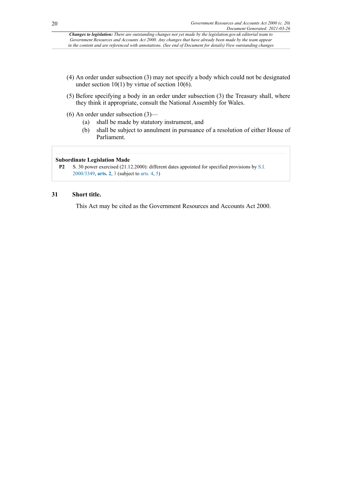- (4) An order under subsection (3) may not specify a body which could not be designated under section  $10(1)$  by virtue of section  $10(6)$ .
- (5) Before specifying a body in an order under subsection (3) the Treasury shall, where they think it appropriate, consult the National Assembly for Wales.
- (6) An order under subsection (3)—
	- (a) shall be made by statutory instrument, and
	- (b) shall be subject to annulment in pursuance of a resolution of either House of Parliament.

### **Subordinate Legislation Made**

```
P2 S. 30 power exercised (21.12.2000): different dates appointed for specified provisions by S.I.
      2000/3349, arts. 2, 3 (subject to arts. 4, 5)
```
### **31 Short title.**

This Act may be cited as the Government Resources and Accounts Act 2000.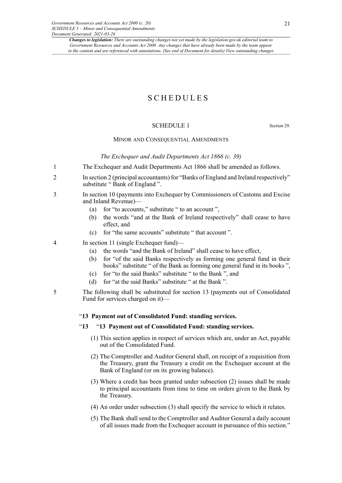### SCHEDULES

### SCHEDULE 1 Section 29

#### MINOR AND CONSEQUENTIAL AMENDMENTS

*The Exchequer and Audit Departments Act 1866 (c. 39)*

- 1 The Exchequer and Audit Departments Act 1866 shall be amended as follows.
- 2 In section 2 (principal accountants) for "Banks of England and Ireland respectively" substitute " Bank of England ".
- 3 In section 10 (payments into Exchequer by Commissioners of Customs and Excise and Inland Revenue)—
	- (a) for "to accounts," substitute " to an account ",
	- (b) the words "and at the Bank of Ireland respectively" shall cease to have effect, and
	- (c) for "the same accounts" substitute " that account ".

4 In section 11 (single Exchequer fund)—

- (a) the words "and the Bank of Ireland" shall cease to have effect,
- (b) for "of the said Banks respectively as forming one general fund in their books" substitute " of the Bank as forming one general fund in its books ",
- (c) for "to the said Banks" substitute " to the Bank ", and
- (d) for "at the said Banks" substitute " at the Bank ".
- 5 The following shall be substituted for section 13 (payments out of Consolidated Fund for services charged on it)—

#### "**13 Payment out of Consolidated Fund: standing services.**

#### "**13** "**13 Payment out of Consolidated Fund: standing services.**

- (1) This section applies in respect of services which are, under an Act, payable out of the Consolidated Fund.
- (2) The Comptroller and Auditor General shall, on receipt of a requisition from the Treasury, grant the Treasury a credit on the Exchequer account at the Bank of England (or on its growing balance).
- (3) Where a credit has been granted under subsection (2) issues shall be made to principal accountants from time to time on orders given to the Bank by the Treasury.
- (4) An order under subsection (3) shall specify the service to which it relates.
- (5) The Bank shall send to the Comptroller and Auditor General a daily account of all issues made from the Exchequer account in pursuance of this section."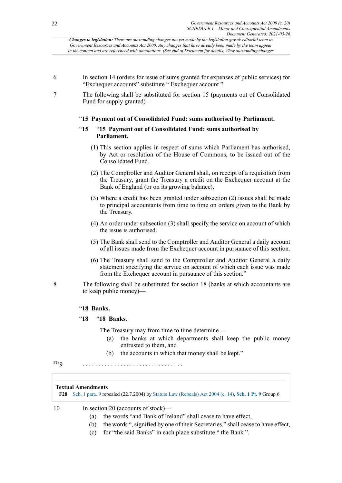- 6 In section 14 (orders for issue of sums granted for expenses of public services) for "Exchequer accounts" substitute " Exchequer account ".
- 7 The following shall be substituted for section 15 (payments out of Consolidated Fund for supply granted)—

### "**15 Payment out of Consolidated Fund: sums authorised by Parliament.**

### "**15** "**15 Payment out of Consolidated Fund: sums authorised by Parliament.**

- (1) This section applies in respect of sums which Parliament has authorised, by Act or resolution of the House of Commons, to be issued out of the Consolidated Fund.
- (2) The Comptroller and Auditor General shall, on receipt of a requisition from the Treasury, grant the Treasury a credit on the Exchequer account at the Bank of England (or on its growing balance).
- (3) Where a credit has been granted under subsection (2) issues shall be made to principal accountants from time to time on orders given to the Bank by the Treasury.
- (4) An order under subsection (3) shall specify the service on account of which the issue is authorised.
- (5) The Bank shall send to the Comptroller and Auditor General a daily account of all issues made from the Exchequer account in pursuance of this section.
- (6) The Treasury shall send to the Comptroller and Auditor General a daily statement specifying the service on account of which each issue was made from the Exchequer account in pursuance of this section."
- 8 The following shall be substituted for section 18 (banks at which accountants are to keep public money)—

### "**18 Banks.**

### "**18** "**18 Banks.**

The Treasury may from time to time determine—

- (a) the banks at which departments shall keep the public money entrusted to them, and
- (b) the accounts in which that money shall be kept."

<span id="page-21-1"></span>**[F28](#page-21-0)**9 . . . . . . . . . . . . . . . . . . . . . . . . . . . . . . . .

#### **Textual Amendments**

<span id="page-21-0"></span>**[F28](#page-21-1)** [Sch. 1 para. 9](http://www.legislation.gov.uk/id/ukpga/2000/20/schedule/1/paragraph/9) repealed (22.7.2004) by [Statute Law \(Repeals\) Act 2004 \(c. 14\)](http://www.legislation.gov.uk/id/ukpga/2004/14), **[Sch. 1 Pt. 9](http://www.legislation.gov.uk/id/ukpga/2004/14/schedule/1/part/9)** Group 6

10 In section 20 (accounts of stock)—

- (a) the words "and Bank of Ireland" shall cease to have effect,
- (b) the words ", signified by one of their Secretaries," shall cease to have effect,
- (c) for "the said Banks" in each place substitute " the Bank ",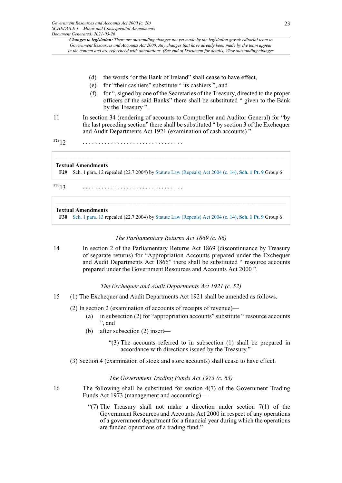- (d) the words "or the Bank of Ireland" shall cease to have effect,
- (e) for "their cashiers" substitute " its cashiers ", and
- (f) for ",signed by one of the Secretaries of the Treasury, directed to the proper officers of the said Banks" there shall be substituted " given to the Bank by the Treasury ".
- 11 In section 34 (rendering of accounts to Comptroller and Auditor General) for "by the last preceding section" there shall be substituted " by section 3 of the Exchequer and Audit Departments Act 1921 (examination of cash accounts) ".
- <span id="page-22-1"></span>**[F29](#page-22-0)**12 . . . . . . . . . . . . . . . . . . . . . . . . . . . . . . . .

#### **Textual Amendments**

<span id="page-22-0"></span>**[F29](#page-22-1)** Sch. 1 para. 12 repealed (22.7.2004) by [Statute Law \(Repeals\) Act 2004 \(c. 14\),](http://www.legislation.gov.uk/id/ukpga/2004/14) **[Sch. 1 Pt. 9](http://www.legislation.gov.uk/id/ukpga/2004/14/schedule/1/part/9)** Group 6

<span id="page-22-3"></span>**[F30](#page-22-2)**13 . . . . . . . . . . . . . . . . . . . . . . . . . . . . . . . .

#### **Textual Amendments**

<span id="page-22-2"></span>**[F30](#page-22-3)** [Sch. 1 para. 13](http://www.legislation.gov.uk/id/ukpga/2000/20/schedule/1/paragraph/13) repealed (22.7.2004) by [Statute Law \(Repeals\) Act 2004 \(c. 14\),](http://www.legislation.gov.uk/id/ukpga/2004/14) **[Sch. 1 Pt. 9](http://www.legislation.gov.uk/id/ukpga/2004/14/schedule/1/part/9)** Group 6

### *The Parliamentary Returns Act 1869 (c. 86)*

14 In section 2 of the Parliamentary Returns Act 1869 (discontinuance by Treasury of separate returns) for "Appropriation Accounts prepared under the Exchequer and Audit Departments Act 1866" there shall be substituted " resource accounts prepared under the Government Resources and Accounts Act 2000 ".

#### *The Exchequer and Audit Departments Act 1921 (c. 52)*

- 15 (1) The Exchequer and Audit Departments Act 1921 shall be amended as follows.
	- (2) In section 2 (examination of accounts of receipts of revenue)—
		- (a) in subsection (2) for "appropriation accounts" substitute " resource accounts ", and
		- (b) after subsection (2) insert—
			- "(3) The accounts referred to in subsection (1) shall be prepared in accordance with directions issued by the Treasury."
	- (3) Section 4 (examination of stock and store accounts) shall cease to have effect.

#### *The Government Trading Funds Act 1973 (c. 63)*

- 16 The following shall be substituted for section 4(7) of the Government Trading Funds Act 1973 (management and accounting)—
	- "(7) The Treasury shall not make a direction under section  $7(1)$  of the Government Resources and Accounts Act 2000 in respect of any operations of a government department for a financial year during which the operations are funded operations of a trading fund."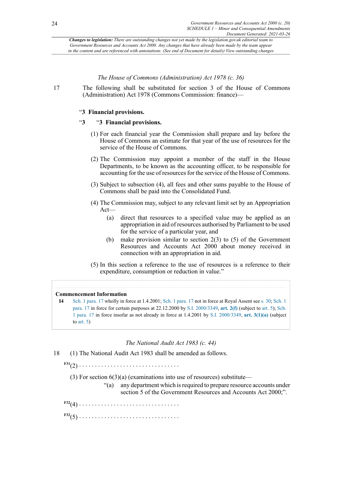*The House of Commons (Administration) Act 1978 (c. 36)*

17 The following shall be substituted for section 3 of the House of Commons (Administration) Act 1978 (Commons Commission: finance)—

### "**3 Financial provisions.**

### "**3** "**3 Financial provisions.**

- (1) For each financial year the Commission shall prepare and lay before the House of Commons an estimate for that year of the use of resources for the service of the House of Commons.
- (2) The Commission may appoint a member of the staff in the House Departments, to be known as the accounting officer, to be responsible for accounting for the use of resources for the service of the House of Commons.
- (3) Subject to subsection (4), all fees and other sums payable to the House of Commons shall be paid into the Consolidated Fund.
- (4) The Commission may, subject to any relevant limit set by an Appropriation Act—
	- (a) direct that resources to a specified value may be applied as an appropriation in aid of resources authorised by Parliament to be used for the service of a particular year, and
	- (b) make provision similar to section 2(3) to (5) of the Government Resources and Accounts Act 2000 about money received in connection with an appropriation in aid.
- (5) In this section a reference to the use of resources is a reference to their expenditure, consumption or reduction in value."

### **Commencement Information**

**I4** [Sch. 1 para. 17](http://www.legislation.gov.uk/id/ukpga/2000/20/schedule/1/paragraph/17) wholly in force at 1.4.2001; [Sch. 1 para. 17](http://www.legislation.gov.uk/id/ukpga/2000/20/schedule/1/paragraph/17) not in force at Royal Assent see [s. 30;](http://www.legislation.gov.uk/id/ukpga/2000/20/section/30) [Sch. 1](http://www.legislation.gov.uk/id/ukpga/2000/20/schedule/1/paragraph/17) [para. 17](http://www.legislation.gov.uk/id/ukpga/2000/20/schedule/1/paragraph/17) in force for certain purposes at 22.12.2000 by [S.I. 2000/3349](http://www.legislation.gov.uk/id/uksi/2000/3349), **[art. 2\(f\)](http://www.legislation.gov.uk/id/uksi/2000/3349/article/2/f)** (subject to [art. 5\)](http://www.legislation.gov.uk/id/uksi/2000/3349/article/5); [Sch.](http://www.legislation.gov.uk/id/ukpga/2000/20/schedule/1/paragraph/17) [1 para. 17](http://www.legislation.gov.uk/id/ukpga/2000/20/schedule/1/paragraph/17) in force insofar as not already in force at 1.4.2001 by [S.I. 2000/3349](http://www.legislation.gov.uk/id/uksi/2000/3349), **[art. 3\(1\)\(a\)](http://www.legislation.gov.uk/id/uksi/2000/3349/article/3/1/a)** (subject to art.  $5)$ 

### *The National Audit Act 1983 (c. 44)*

18 (1) The National Audit Act 1983 shall be amended as follows.

<span id="page-23-0"></span>**[F31](#page-24-0)**(2) . . . . . . . . . . . . . . . . . . . . . . . . . . . . . . . .

- (3) For section  $6(3)(a)$  (examinations into use of resources) substitute—
	- "(a) any department which is required to prepare resource accounts under section 5 of the Government Resources and Accounts Act 2000;".
- <span id="page-23-1"></span>**[F32](#page-24-1)**(4) . . . . . . . . . . . . . . . . . . . . . . . . . . . . . . . .

**[F32](#page-24-1)**(5) . . . . . . . . . . . . . . . . . . . . . . . . . . . . . . . .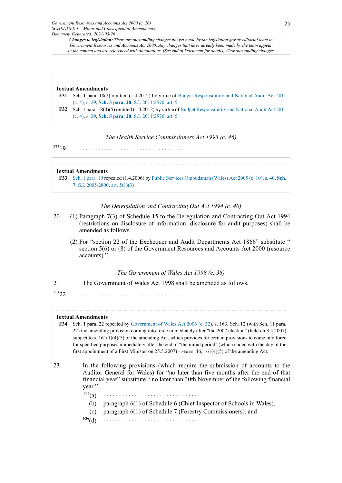#### **Textual Amendments**

- <span id="page-24-0"></span>**[F31](#page-23-0)** Sch. 1 para. 18(2) omitted (1.4.2012) by virtue of Budget [Responsibility](http://www.legislation.gov.uk/id/ukpga/2011/4) and National Audit Act 2011 [\(c. 4\),](http://www.legislation.gov.uk/id/ukpga/2011/4) [s. 29](http://www.legislation.gov.uk/id/ukpga/2011/4/section/29), **[Sch. 5 para. 20](http://www.legislation.gov.uk/id/ukpga/2011/4/schedule/5/paragraph/20)**; S.I. [2011/2576](http://www.legislation.gov.uk/id/uksi/2011/2576), [art. 5](http://www.legislation.gov.uk/id/uksi/2011/2576/article/5)
- <span id="page-24-1"></span>**[F32](#page-23-1)** Sch. 1 para. 18(4)(5) omitted (1.4.2012) by virtue of Budget [Responsibility](http://www.legislation.gov.uk/id/ukpga/2011/4) and National Audit Act 2011 [\(c. 4\),](http://www.legislation.gov.uk/id/ukpga/2011/4) [s. 29](http://www.legislation.gov.uk/id/ukpga/2011/4/section/29), **[Sch. 5 para. 20](http://www.legislation.gov.uk/id/ukpga/2011/4/schedule/5/paragraph/20)**; S.I. [2011/2576](http://www.legislation.gov.uk/id/uksi/2011/2576), [art. 5](http://www.legislation.gov.uk/id/uksi/2011/2576/article/5)

*The Health Service Commissioners Act 1993 (c. 46)*

<span id="page-24-3"></span>**[F33](#page-24-2)**19 . . . . . . . . . . . . . . . . . . . . . . . . . . . . . . . .

**Textual Amendments**

<span id="page-24-2"></span>**[F33](#page-24-3)** [Sch. 1 para. 19](http://www.legislation.gov.uk/id/ukpga/2000/20/schedule/1/paragraph/19) repealed (1.4.2006) by Public Services [Ombudsman](http://www.legislation.gov.uk/id/ukpga/2005/10) (Wales) Act 2005 (c. 10), [s. 40](http://www.legislation.gov.uk/id/ukpga/2005/10/section/40), **[Sch.](http://www.legislation.gov.uk/id/ukpga/2005/10/schedule/7) [7](http://www.legislation.gov.uk/id/ukpga/2005/10/schedule/7)**; [S.I. 2005/2800](http://www.legislation.gov.uk/id/wsi/2005/2800), [art. 5\(1\)](http://www.legislation.gov.uk/id/wsi/2005/2800/article/5/1)[\(3\)](http://www.legislation.gov.uk/id/wsi/2005/2800/article/5/3)

### *The Deregulation and Contracting Out Act 1994 (c. 40)*

- 20 (1) Paragraph 7(3) of Schedule 15 to the Deregulation and Contracting Out Act 1994 (restrictions on disclosure of information: disclosure for audit purposes) shall be amended as follows.
	- (2) For "section 22 of the Exchequer and Audit Departments Act 1866" substitute " section 5(6) or (8) of the Government Resources and Accounts Act 2000 (resource accounts) ".

### *The Government of Wales Act 1998 (c. 38)*

21 The Government of Wales Act 1998 shall be amended as follows.

<span id="page-24-5"></span>**[F34](#page-24-4)**22 . . . . . . . . . . . . . . . . . . . . . . . . . . . . . . . .

#### **Textual Amendments**

- <span id="page-24-4"></span>**[F34](#page-24-5)** Sch. 1 para. 22 repealed by [Government](http://www.legislation.gov.uk/id/ukpga/2006/32) of Wales Act 2006 (c. 32), s. 163, Sch. 12 (with Sch. 11 para. 22) the amending provision coming into force immediately after "the 2007 election" (held on 3.5.2007) subject to s.  $161(1)(4)(5)$  of the amending Act, which provides for certain provisions to come into force for specified purposes immediately after the end of "the initial period" (which ended with the day of the first appointment of a First Minister on 25.5.2007) - see ss. 46, 161(4)(5) of the amending Act.
- <span id="page-24-7"></span><span id="page-24-6"></span>23 In the following provisions (which require the submission of accounts to the Auditor General for Wales) for "no later than five months after the end of that financial year" substitute " no later than 30th November of the following financial year "
	- $F35(a)$  $F35(a)$ 
		- (b) paragraph 6(1) of Schedule 6 (Chief Inspector of Schools in Wales),
		- (c) paragraph 6(1) of Schedule 7 (Forestry Commissioners), and
	- **[F36](#page-25-1)**(d) . . . . . . . . . . . . . . . . . . . . . . . . . . . . . . . .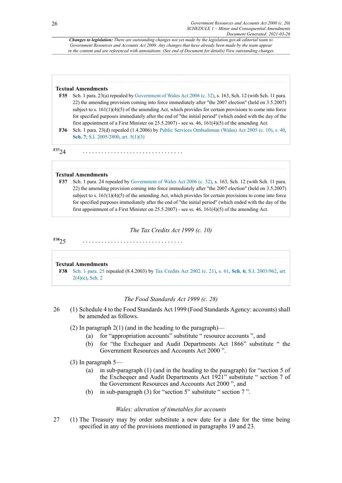#### **Textual Amendments**

- <span id="page-25-0"></span>**[F35](#page-24-6)** Sch. 1 para. 23(a) repealed by [Government](http://www.legislation.gov.uk/id/ukpga/2006/32) of Wales Act 2006 (c. 32), s. 163, Sch. 12 (with Sch. 11 para. 22) the amending provision coming into force immediately after "the 2007 election" (held on 3.5.2007) subject to s.  $161(1)(4)(5)$  of the amending Act, which provides for certain provisions to come into force for specified purposes immediately after the end of "the initial period" (which ended with the day of the first appointment of a First Minister on 25.5.2007) - see ss. 46, 161(4)(5) of the amending Act.
- <span id="page-25-1"></span>**[F36](#page-24-7)** Sch. 1 para. 23(d) repealed (1.4.2006) by Public Services [Ombudsman](http://www.legislation.gov.uk/id/ukpga/2005/10) (Wales) Act 2005 (c. 10), [s. 40](http://www.legislation.gov.uk/id/ukpga/2005/10/section/40), **[Sch. 7](http://www.legislation.gov.uk/id/ukpga/2005/10/schedule/7)**; [S.I. 2005/2800,](http://www.legislation.gov.uk/id/uksi/2005/2800) [art. 5\(1\)](http://www.legislation.gov.uk/id/uksi/2005/2800/article/5/1)[\(3\)](http://www.legislation.gov.uk/id/uksi/2005/2800/article/5/3)

<span id="page-25-3"></span>**[F37](#page-25-2)**24 . . . . . . . . . . . . . . . . . . . . . . . . . . . . . . . .

### **Textual Amendments**

<span id="page-25-2"></span>**[F37](#page-25-3)** Sch. 1 para. 24 repealed by [Government](http://www.legislation.gov.uk/id/ukpga/2006/32) of Wales Act 2006 (c. 32), s. 163, Sch. 12 (with Sch. 11 para. 22) the amending provision coming into force immediately after "the 2007 election" (held on 3.5.2007) subject to s.  $161(1)(4)(5)$  of the amending Act, which provides for certain provisions to come into force for specified purposes immediately after the end of "the initial period" (which ended with the day of the first appointment of a First Minister on 25.5.2007) - see ss. 46,  $161(4)(5)$  of the amending Act.

*The Tax Credits Act 1999 (c. 10)*

<span id="page-25-5"></span>**[F38](#page-25-4)**25 . . . . . . . . . . . . . . . . . . . . . . . . . . . . . . . .

#### **Textual Amendments**

<span id="page-25-4"></span>**[F38](#page-25-5)** [Sch. 1 para. 25](http://www.legislation.gov.uk/id/ukpga/2000/20/schedule/1/paragraph/25) repealed (8.4.2003) by Tax [Credits](http://www.legislation.gov.uk/id/ukpga/2002/21) Act 2002 (c. 21), [s. 61,](http://www.legislation.gov.uk/id/ukpga/2002/21/section/61) **[Sch. 6](http://www.legislation.gov.uk/id/ukpga/2002/21/schedule/6)**; [S.I. 2003/962,](http://www.legislation.gov.uk/id/uksi/2003/962) [art.](http://www.legislation.gov.uk/id/uksi/2003/962/article/2/4/e) [2\(4\)\(e\),](http://www.legislation.gov.uk/id/uksi/2003/962/article/2/4/e) [Sch. 2](http://www.legislation.gov.uk/id/uksi/2003/962/schedule/2)

#### *The Food Standards Act 1999 (c. 28)*

- 26 (1) Schedule 4 to the Food Standards Act 1999 (Food Standards Agency: accounts) shall be amended as follows.
	- (2) In paragraph  $2(1)$  (and in the heading to the paragraph)—
		- (a) for "appropriation accounts" substitute " resource accounts ", and
		- (b) for "the Exchequer and Audit Departments Act 1866" substitute " the Government Resources and Accounts Act 2000 ".

#### (3) In paragraph 5—

- (a) in sub-paragraph (1) (and in the heading to the paragraph) for "section 5 of the Exchequer and Audit Departments Act 1921" substitute " section 7 of the Government Resources and Accounts Act 2000 ", and
- (b) in sub-paragraph (3) for "section 5" substitute " section 7 ".

### *Wales: alteration of timetables for accounts*

27 (1) The Treasury may by order substitute a new date for a date for the time being specified in any of the provisions mentioned in paragraphs 19 and 23.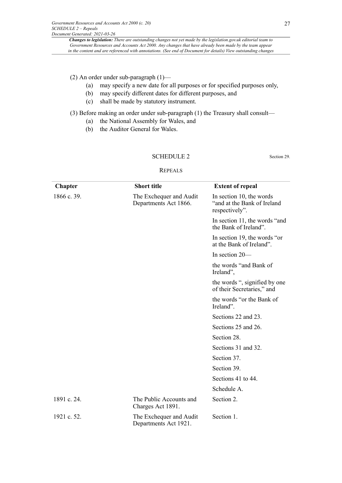### (2) An order under sub-paragraph (1)—

- (a) may specify a new date for all purposes or for specified purposes only,
- (b) may specify different dates for different purposes, and
- (c) shall be made by statutory instrument.

(3) Before making an order under sub-paragraph (1) the Treasury shall consult—

- (a) the National Assembly for Wales, and
- (b) the Auditor General for Wales.

### SCHEDULE 2 Section 29.

#### REPEALS

| Chapter     | <b>Short title</b>                               | <b>Extent of repeal</b>                                                   |
|-------------|--------------------------------------------------|---------------------------------------------------------------------------|
| 1866 c. 39. | The Exchequer and Audit<br>Departments Act 1866. | In section 10, the words<br>"and at the Bank of Ireland<br>respectively". |
|             |                                                  | In section 11, the words "and<br>the Bank of Ireland"                     |
|             |                                                  | In section 19, the words "or<br>at the Bank of Ireland".                  |
|             |                                                  | In section 20-                                                            |
|             |                                                  | the words "and Bank of<br>Ireland",                                       |
|             |                                                  | the words ", signified by one<br>of their Secretaries," and               |
|             |                                                  | the words "or the Bank of<br>Ireland".                                    |
|             |                                                  | Sections 22 and 23.                                                       |
|             |                                                  | Sections 25 and 26.                                                       |
|             |                                                  | Section 28.                                                               |
|             |                                                  | Sections 31 and 32.                                                       |
|             |                                                  | Section 37.                                                               |
|             |                                                  | Section 39.                                                               |
|             |                                                  | Sections 41 to 44.                                                        |
|             |                                                  | Schedule A.                                                               |
| 1891 c. 24. | The Public Accounts and<br>Charges Act 1891.     | Section 2.                                                                |
| 1921 c. 52. | The Exchequer and Audit<br>Departments Act 1921. | Section 1.                                                                |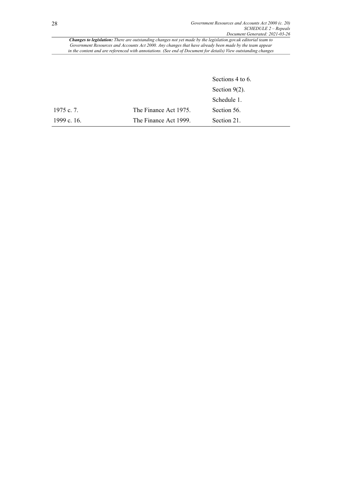|             |                       | Sections 4 to 6. |
|-------------|-----------------------|------------------|
|             |                       | Section $9(2)$ . |
|             |                       | Schedule 1.      |
| 1975 c. 7.  | The Finance Act 1975. | Section 56.      |
| 1999 c. 16. | The Finance Act 1999. | Section 21.      |